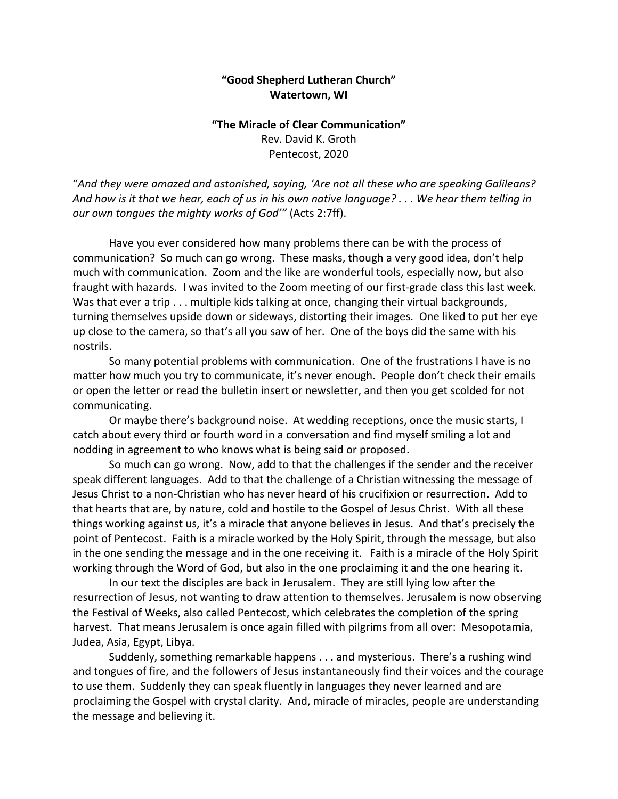## **"Good Shepherd Lutheran Church" Watertown, WI**

## **"The Miracle of Clear Communication"** Rev. David K. Groth Pentecost, 2020

"*And they were amazed and astonished, saying, 'Are not all these who are speaking Galileans? And how is it that we hear, each of us in his own native language? . . . We hear them telling in our own tongues the mighty works of God'"* (Acts 2:7ff).

Have you ever considered how many problems there can be with the process of communication? So much can go wrong. These masks, though a very good idea, don't help much with communication. Zoom and the like are wonderful tools, especially now, but also fraught with hazards. I was invited to the Zoom meeting of our first-grade class this last week. Was that ever a trip . . . multiple kids talking at once, changing their virtual backgrounds, turning themselves upside down or sideways, distorting their images. One liked to put her eye up close to the camera, so that's all you saw of her. One of the boys did the same with his nostrils.

So many potential problems with communication. One of the frustrations I have is no matter how much you try to communicate, it's never enough. People don't check their emails or open the letter or read the bulletin insert or newsletter, and then you get scolded for not communicating.

Or maybe there's background noise. At wedding receptions, once the music starts, I catch about every third or fourth word in a conversation and find myself smiling a lot and nodding in agreement to who knows what is being said or proposed.

So much can go wrong. Now, add to that the challenges if the sender and the receiver speak different languages. Add to that the challenge of a Christian witnessing the message of Jesus Christ to a non-Christian who has never heard of his crucifixion or resurrection. Add to that hearts that are, by nature, cold and hostile to the Gospel of Jesus Christ. With all these things working against us, it's a miracle that anyone believes in Jesus. And that's precisely the point of Pentecost. Faith is a miracle worked by the Holy Spirit, through the message, but also in the one sending the message and in the one receiving it. Faith is a miracle of the Holy Spirit working through the Word of God, but also in the one proclaiming it and the one hearing it.

In our text the disciples are back in Jerusalem. They are still lying low after the resurrection of Jesus, not wanting to draw attention to themselves. Jerusalem is now observing the Festival of Weeks, also called Pentecost, which celebrates the completion of the spring harvest. That means Jerusalem is once again filled with pilgrims from all over: Mesopotamia, Judea, Asia, Egypt, Libya.

Suddenly, something remarkable happens . . . and mysterious. There's a rushing wind and tongues of fire, and the followers of Jesus instantaneously find their voices and the courage to use them. Suddenly they can speak fluently in languages they never learned and are proclaiming the Gospel with crystal clarity. And, miracle of miracles, people are understanding the message and believing it.